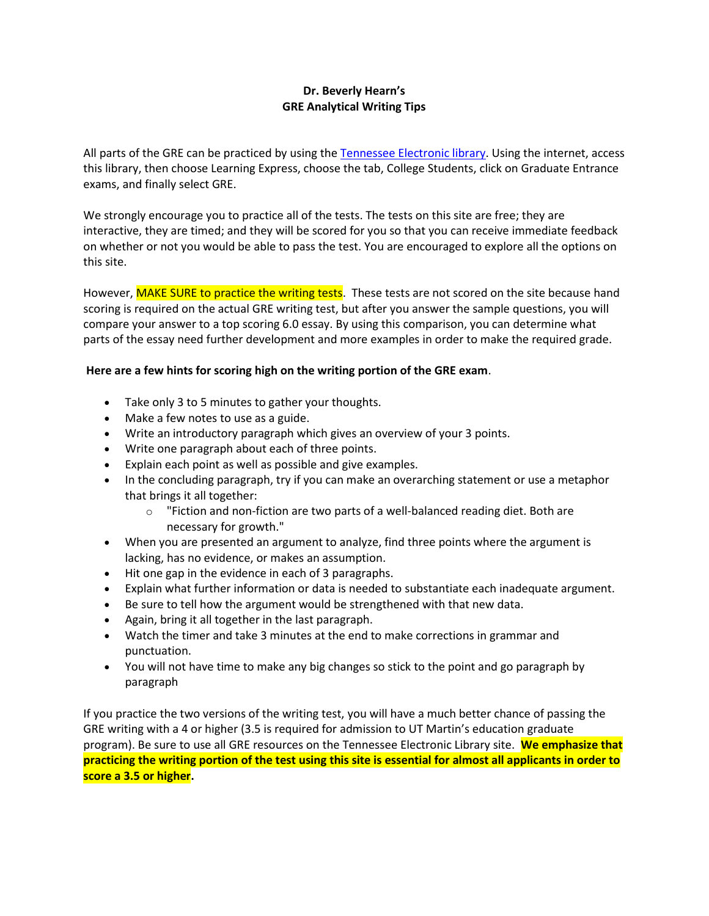# **Dr. Beverly Hearn's GRE Analytical Writing Tips**

All parts of the GRE can be practiced by using the [Tennessee Electronic library.](http://tntel.tnsos.org/) Using the internet, access this library, then choose Learning Express, choose the tab, College Students, click on Graduate Entrance exams, and finally select GRE.

We strongly encourage you to practice all of the tests. The tests on this site are free; they are interactive, they are timed; and they will be scored for you so that you can receive immediate feedback on whether or not you would be able to pass the test. You are encouraged to explore all the options on this site.

However, MAKE SURE to practice the writing tests. These tests are not scored on the site because hand scoring is required on the actual GRE writing test, but after you answer the sample questions, you will compare your answer to a top scoring 6.0 essay. By using this comparison, you can determine what parts of the essay need further development and more examples in order to make the required grade.

## **Here are a few hints for scoring high on the writing portion of the GRE exam**.

- Take only 3 to 5 minutes to gather your thoughts.
- Make a few notes to use as a guide.
- Write an introductory paragraph which gives an overview of your 3 points.
- Write one paragraph about each of three points.
- Explain each point as well as possible and give examples.
- In the concluding paragraph, try if you can make an overarching statement or use a metaphor that brings it all together:
	- o "Fiction and non-fiction are two parts of a well-balanced reading diet. Both are necessary for growth."
- When you are presented an argument to analyze, find three points where the argument is lacking, has no evidence, or makes an assumption.
- Hit one gap in the evidence in each of 3 paragraphs.
- Explain what further information or data is needed to substantiate each inadequate argument.
- Be sure to tell how the argument would be strengthened with that new data.
- Again, bring it all together in the last paragraph.
- Watch the timer and take 3 minutes at the end to make corrections in grammar and punctuation.
- You will not have time to make any big changes so stick to the point and go paragraph by paragraph

If you practice the two versions of the writing test, you will have a much better chance of passing the GRE writing with a 4 or higher (3.5 is required for admission to UT Martin's education graduate program). Be sure to use all GRE resources on the Tennessee Electronic Library site. **We emphasize that practicing the writing portion of the test using this site is essential for almost all applicants in order to score a 3.5 or higher.**